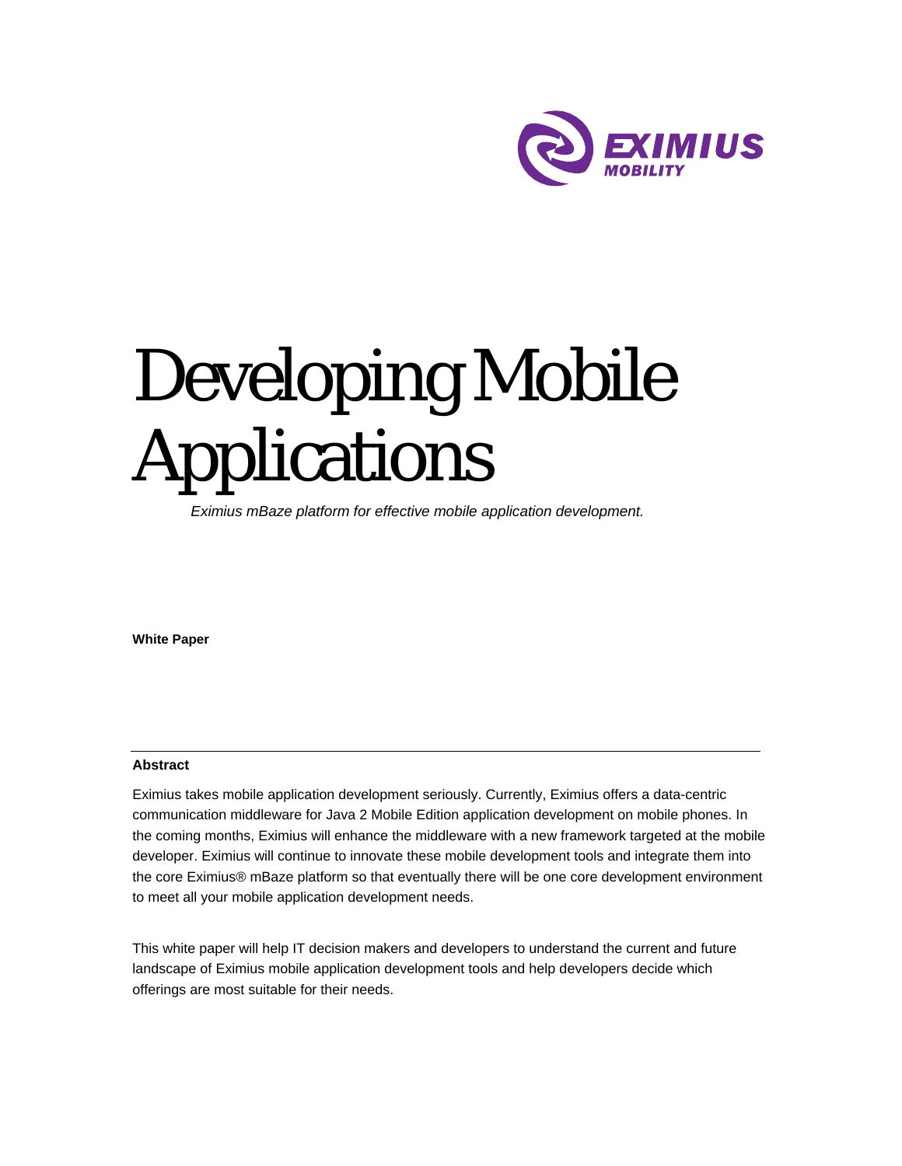

# Developing Mobile Applications

*Eximius mBaze platform for effective mobile application development.* 

**White Paper**

#### **Abstract**

Eximius takes mobile application development seriously. Currently, Eximius offers a data-centric communication middleware for Java 2 Mobile Edition application development on mobile phones. In the coming months, Eximius will enhance the middleware with a new framework targeted at the mobile developer. Eximius will continue to innovate these mobile development tools and integrate them into the core Eximius® mBaze platform so that eventually there will be one core development environment to meet all your mobile application development needs.

This white paper will help IT decision makers and developers to understand the current and future landscape of Eximius mobile application development tools and help developers decide which offerings are most suitable for their needs.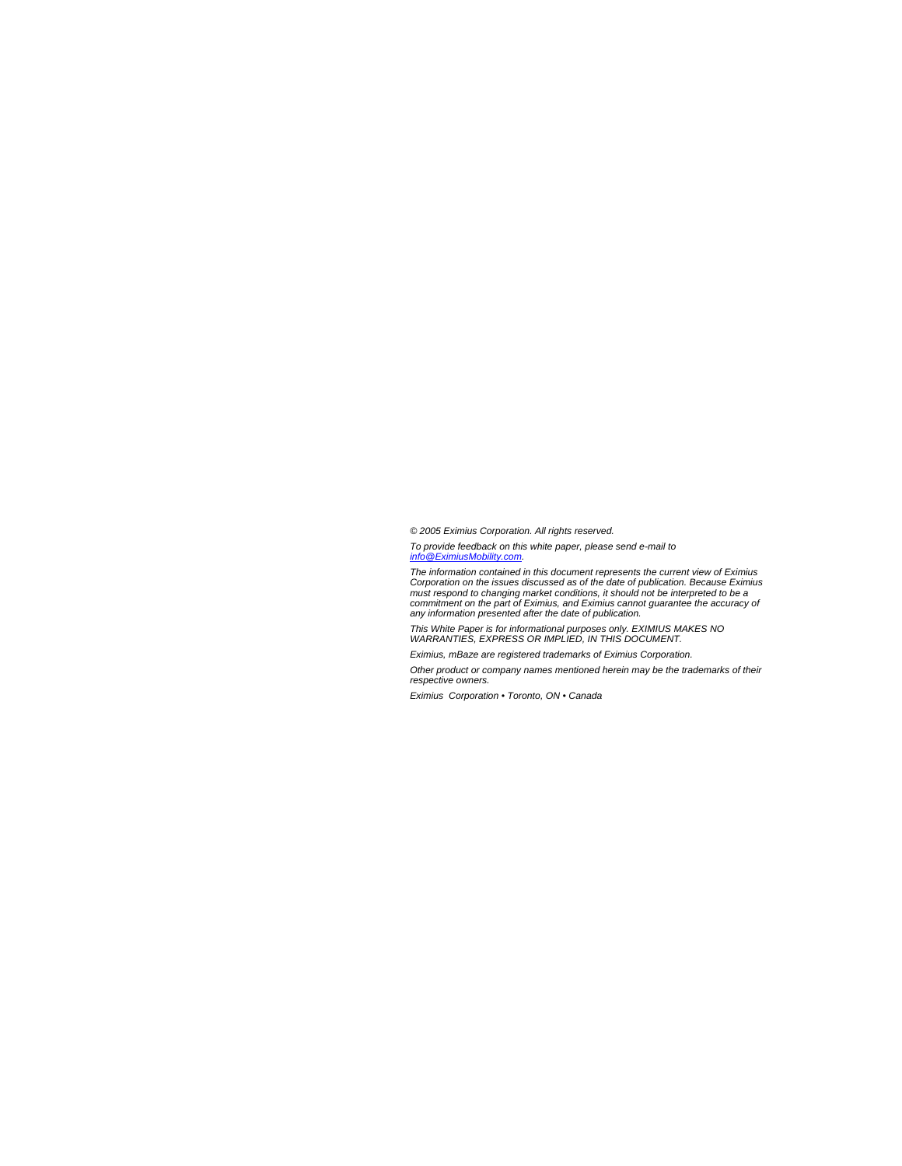*© 2005 Eximius Corporation. All rights reserved.* 

*To provide feedback on this white paper, please send e-mail to info@EximiusMobility.com.* 

The information contained in this document represents the current view of Eximius<br>Corporation on the issues discussed as of the date of publication. Because Eximius<br>must respond to changing market conditions, it should not *any information presented after the date of publication.* 

*This White Paper is for informational purposes only. EXIMIUS MAKES NO WARRANTIES, EXPRESS OR IMPLIED, IN THIS DOCUMENT.* 

*Eximius, mBaze are registered trademarks of Eximius Corporation.* 

*Other product or company names mentioned herein may be the trademarks of their respective owners.* 

*Eximius Corporation • Toronto, ON • Canada*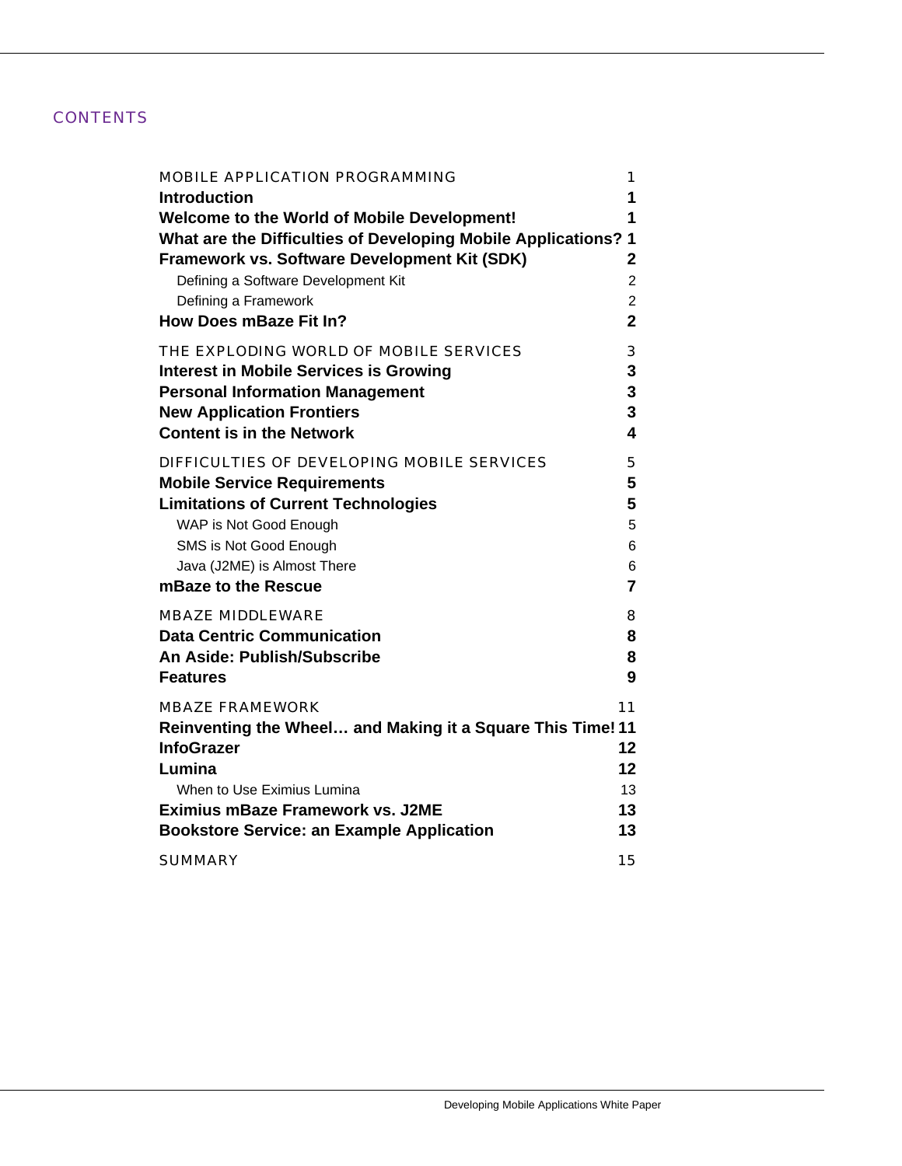### **CONTENTS**

| <b>MOBILE APPLICATION PROGRAMMING</b>                          | 1              |
|----------------------------------------------------------------|----------------|
| <b>Introduction</b>                                            | 1              |
| <b>Welcome to the World of Mobile Development!</b>             | 1              |
| What are the Difficulties of Developing Mobile Applications? 1 |                |
| Framework vs. Software Development Kit (SDK)                   | 2              |
| Defining a Software Development Kit                            | $\overline{c}$ |
| Defining a Framework                                           | $\overline{c}$ |
| How Does mBaze Fit In?                                         | $\overline{2}$ |
|                                                                |                |
| THE EXPLODING WORLD OF MOBILE SERVICES                         | 3              |
| <b>Interest in Mobile Services is Growing</b>                  | 3              |
| <b>Personal Information Management</b>                         | 3              |
| <b>New Application Frontiers</b>                               | 3              |
| <b>Content is in the Network</b>                               | 4              |
| DIFFICULTIES OF DEVELOPING MOBILE SERVICES                     | 5              |
| <b>Mobile Service Requirements</b>                             | 5              |
| <b>Limitations of Current Technologies</b>                     | 5              |
| WAP is Not Good Enough                                         | 5              |
| SMS is Not Good Enough                                         | 6              |
| Java (J2ME) is Almost There                                    | 6              |
| mBaze to the Rescue                                            | 7              |
|                                                                |                |
| <b>MBAZE MIDDLEWARE</b>                                        | 8              |
| <b>Data Centric Communication</b>                              | 8              |
| An Aside: Publish/Subscribe                                    | 8              |
| <b>Features</b>                                                | 9              |
| <b>MBAZE FRAMEWORK</b>                                         | 11             |
| Reinventing the Wheel and Making it a Square This Time! 11     |                |
| <b>InfoGrazer</b>                                              | 12             |
| Lumina                                                         | 12             |
| When to Use Eximius Lumina                                     | 13             |
| <b>Eximius mBaze Framework vs. J2ME</b>                        | 13             |
|                                                                |                |
| <b>Bookstore Service: an Example Application</b>               | 13             |
| <b>SUMMARY</b>                                                 | 15             |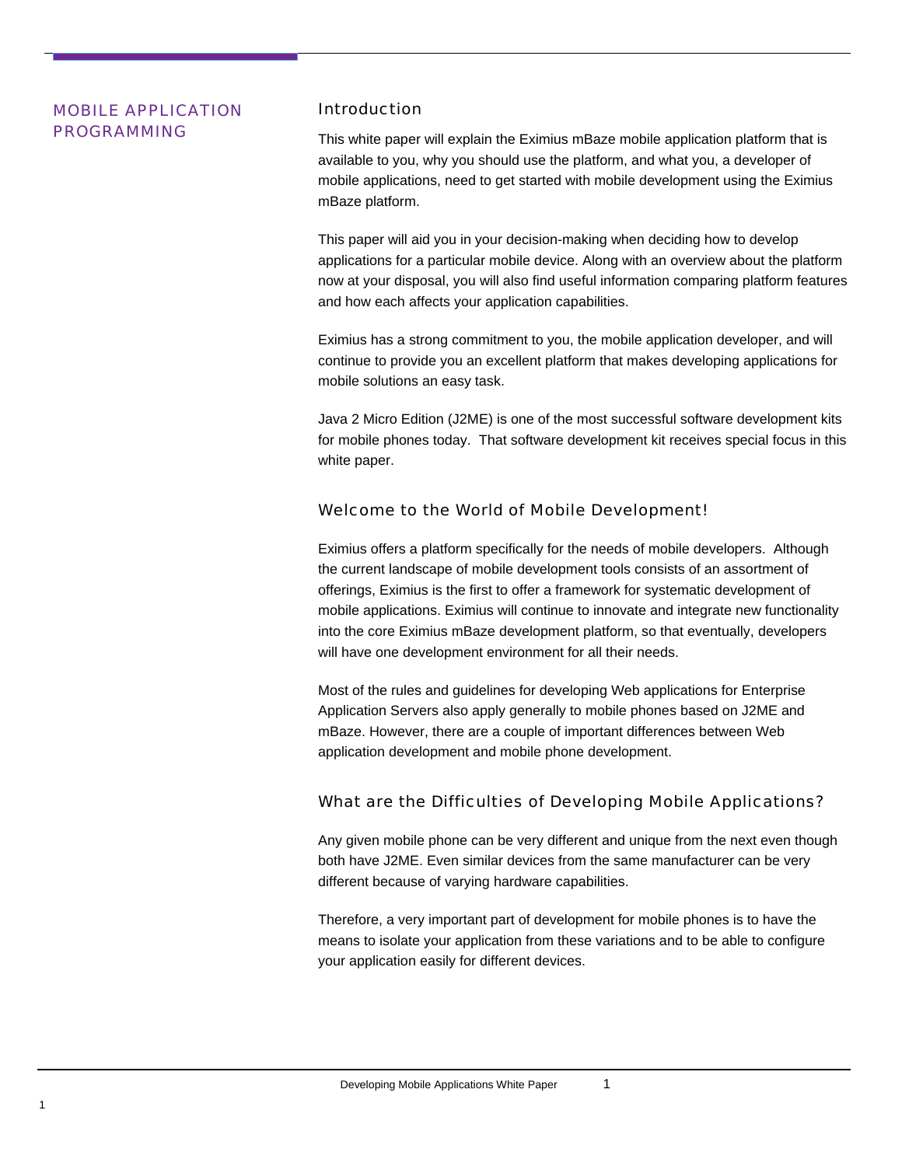## <span id="page-3-0"></span>MOBILE APPLICATION Introduction

**PROGRAMMING** This white paper will explain the Eximius mBaze mobile application platform that is available to you, why you should use the platform, and what you, a developer of mobile applications, need to get started with mobile development using the Eximius mBaze platform.

> This paper will aid you in your decision-making when deciding how to develop applications for a particular mobile device. Along with an overview about the platform now at your disposal, you will also find useful information comparing platform features and how each affects your application capabilities.

Eximius has a strong commitment to you, the mobile application developer, and will continue to provide you an excellent platform that makes developing applications for mobile solutions an easy task.

Java 2 Micro Edition (J2ME) is one of the most successful software development kits for mobile phones today. That software development kit receives special focus in this white paper.

#### Welcome to the World of Mobile Development!

Eximius offers a platform specifically for the needs of mobile developers. Although the current landscape of mobile development tools consists of an assortment of offerings, Eximius is the first to offer a framework for systematic development of mobile applications. Eximius will continue to innovate and integrate new functionality into the core Eximius mBaze development platform, so that eventually, developers will have one development environment for all their needs.

Most of the rules and guidelines for developing Web applications for Enterprise Application Servers also apply generally to mobile phones based on J2ME and mBaze. However, there are a couple of important differences between Web application development and mobile phone development.

#### What are the Difficulties of Developing Mobile Applications?

Any given mobile phone can be very different and unique from the next even though both have J2ME. Even similar devices from the same manufacturer can be very different because of varying hardware capabilities.

Therefore, a very important part of development for mobile phones is to have the means to isolate your application from these variations and to be able to configure your application easily for different devices.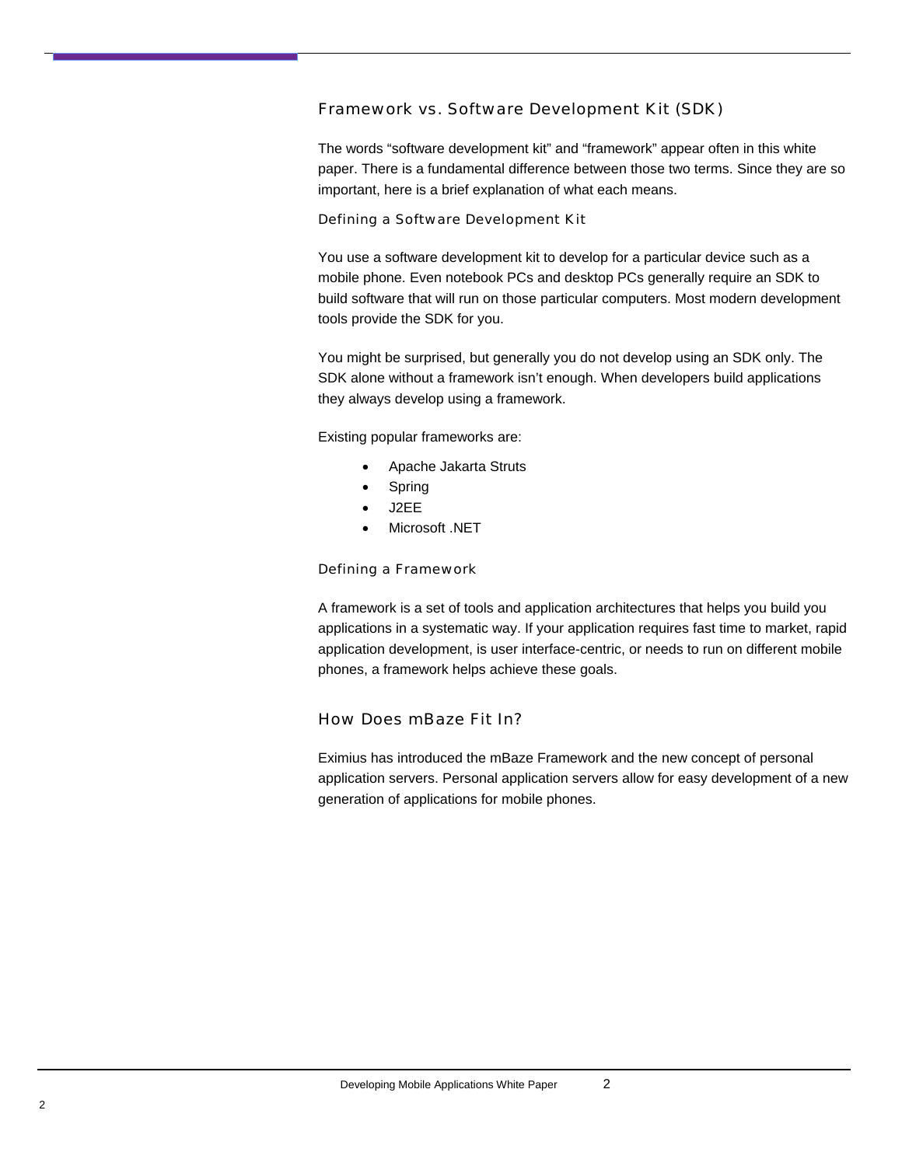#### <span id="page-4-0"></span>Framework vs. Software Development Kit (SDK)

The words "software development kit" and "framework" appear often in this white paper. There is a fundamental difference between those two terms. Since they are so important, here is a brief explanation of what each means.

#### Defining a Software Development Kit

You use a software development kit to develop for a particular device such as a mobile phone. Even notebook PCs and desktop PCs generally require an SDK to build software that will run on those particular computers. Most modern development tools provide the SDK for you.

You might be surprised, but generally you do not develop using an SDK only. The SDK alone without a framework isn't enough. When developers build applications they always develop using a framework.

Existing popular frameworks are:

- Apache Jakarta Struts
- **Spring**
- J2EE
- Microsoft .NET

#### Defining a Framework

A framework is a set of tools and application architectures that helps you build you applications in a systematic way. If your application requires fast time to market, rapid application development, is user interface-centric, or needs to run on different mobile phones, a framework helps achieve these goals.

#### How Does mBaze Fit In?

Eximius has introduced the mBaze Framework and the new concept of personal application servers. Personal application servers allow for easy development of a new generation of applications for mobile phones.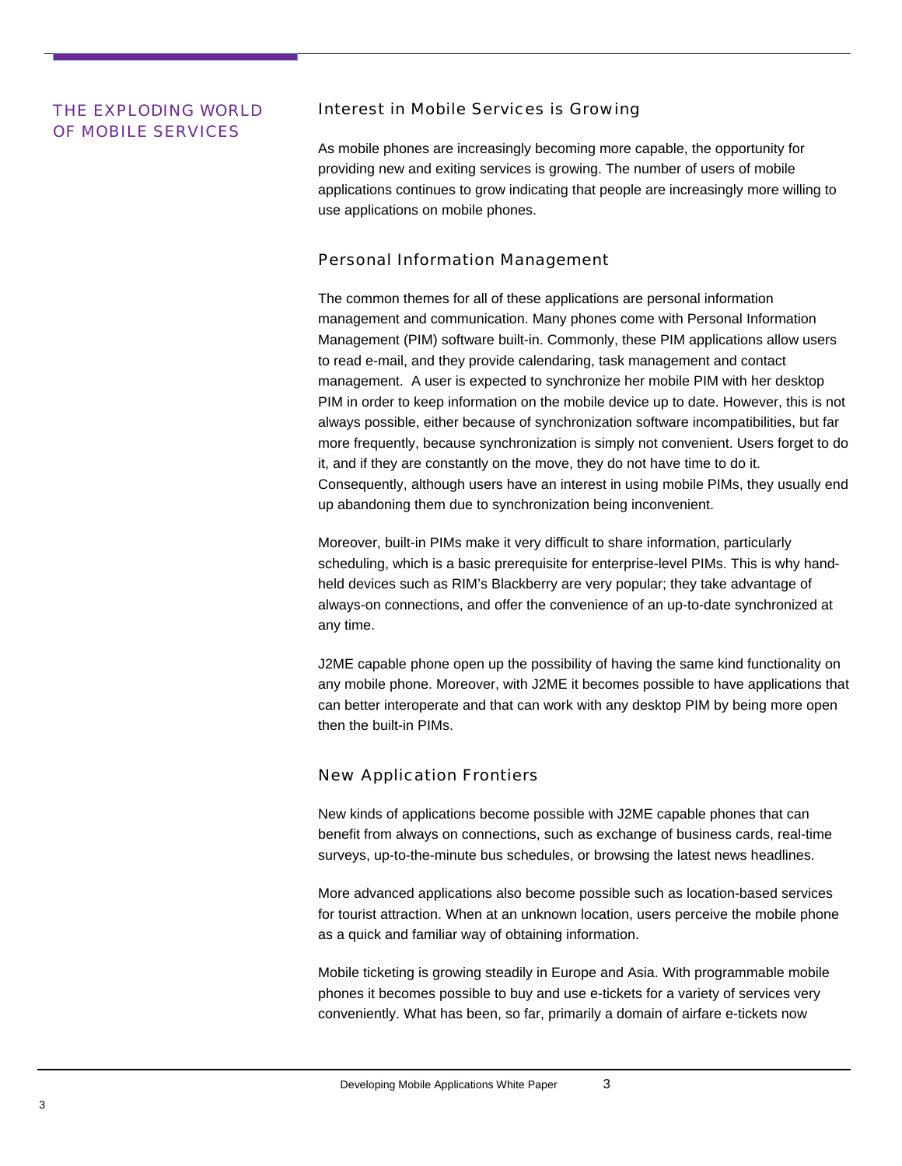# <span id="page-5-0"></span>OF MOBILE SERVICES

#### THE EXPLODING WORLD Interest in Mobile Services is Growing

As mobile phones are increasingly becoming more capable, the opportunity for providing new and exiting services is growing. The number of users of mobile applications continues to grow indicating that people are increasingly more willing to use applications on mobile phones.

### Personal Information Management

The common themes for all of these applications are personal information management and communication. Many phones come with Personal Information Management (PIM) software built-in. Commonly, these PIM applications allow users to read e-mail, and they provide calendaring, task management and contact management. A user is expected to synchronize her mobile PIM with her desktop PIM in order to keep information on the mobile device up to date. However, this is not always possible, either because of synchronization software incompatibilities, but far more frequently, because synchronization is simply not convenient. Users forget to do it, and if they are constantly on the move, they do not have time to do it. Consequently, although users have an interest in using mobile PIMs, they usually end up abandoning them due to synchronization being inconvenient.

Moreover, built-in PIMs make it very difficult to share information, particularly scheduling, which is a basic prerequisite for enterprise-level PIMs. This is why handheld devices such as RIM's Blackberry are very popular; they take advantage of always-on connections, and offer the convenience of an up-to-date synchronized at any time.

J2ME capable phone open up the possibility of having the same kind functionality on any mobile phone. Moreover, with J2ME it becomes possible to have applications that can better interoperate and that can work with any desktop PIM by being more open then the built-in PIMs.

## New Application Frontiers

New kinds of applications become possible with J2ME capable phones that can benefit from always on connections, such as exchange of business cards, real-time surveys, up-to-the-minute bus schedules, or browsing the latest news headlines.

More advanced applications also become possible such as location-based services for tourist attraction. When at an unknown location, users perceive the mobile phone as a quick and familiar way of obtaining information.

Mobile ticketing is growing steadily in Europe and Asia. With programmable mobile phones it becomes possible to buy and use e-tickets for a variety of services very conveniently. What has been, so far, primarily a domain of airfare e-tickets now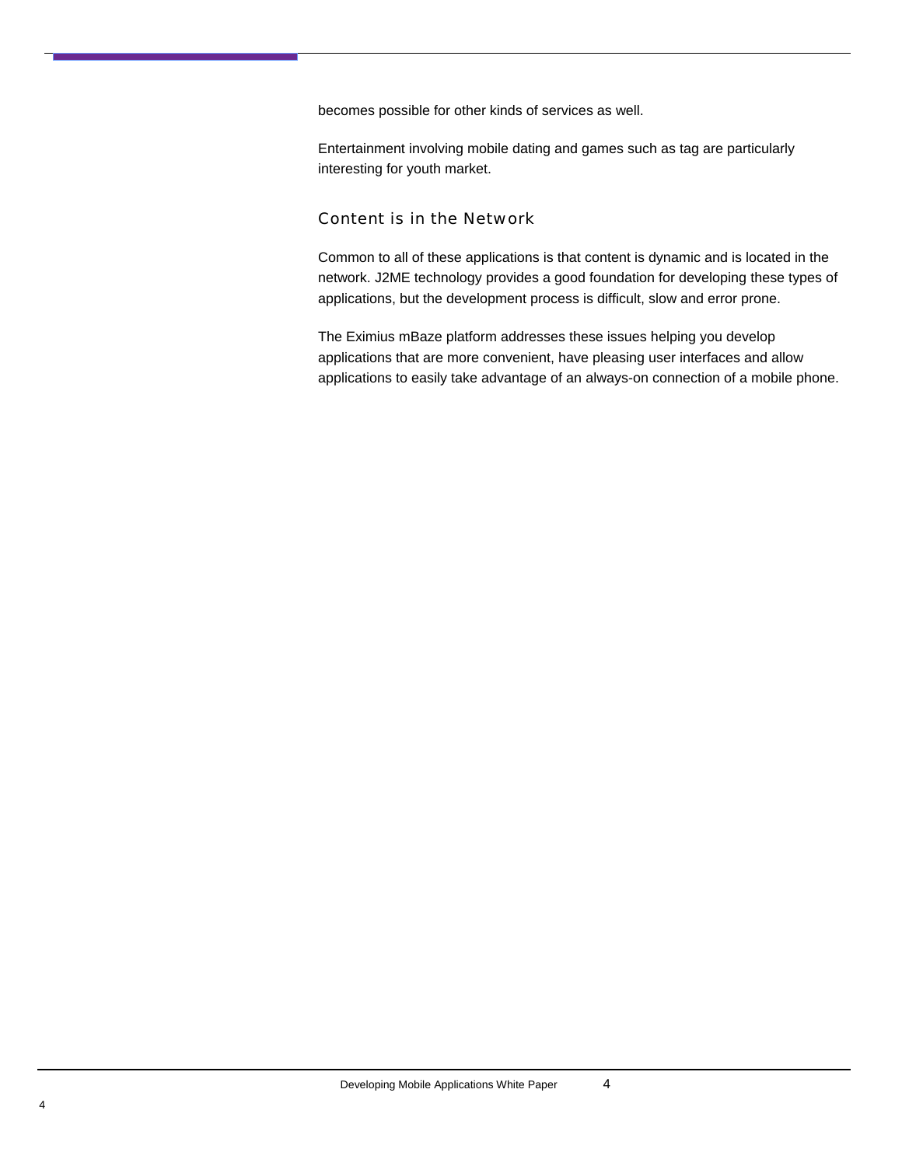<span id="page-6-0"></span>becomes possible for other kinds of services as well.

Entertainment involving mobile dating and games such as tag are particularly interesting for youth market.

#### Content is in the Network

Common to all of these applications is that content is dynamic and is located in the network. J2ME technology provides a good foundation for developing these types of applications, but the development process is difficult, slow and error prone.

The Eximius mBaze platform addresses these issues helping you develop applications that are more convenient, have pleasing user interfaces and allow applications to easily take advantage of an always-on connection of a mobile phone.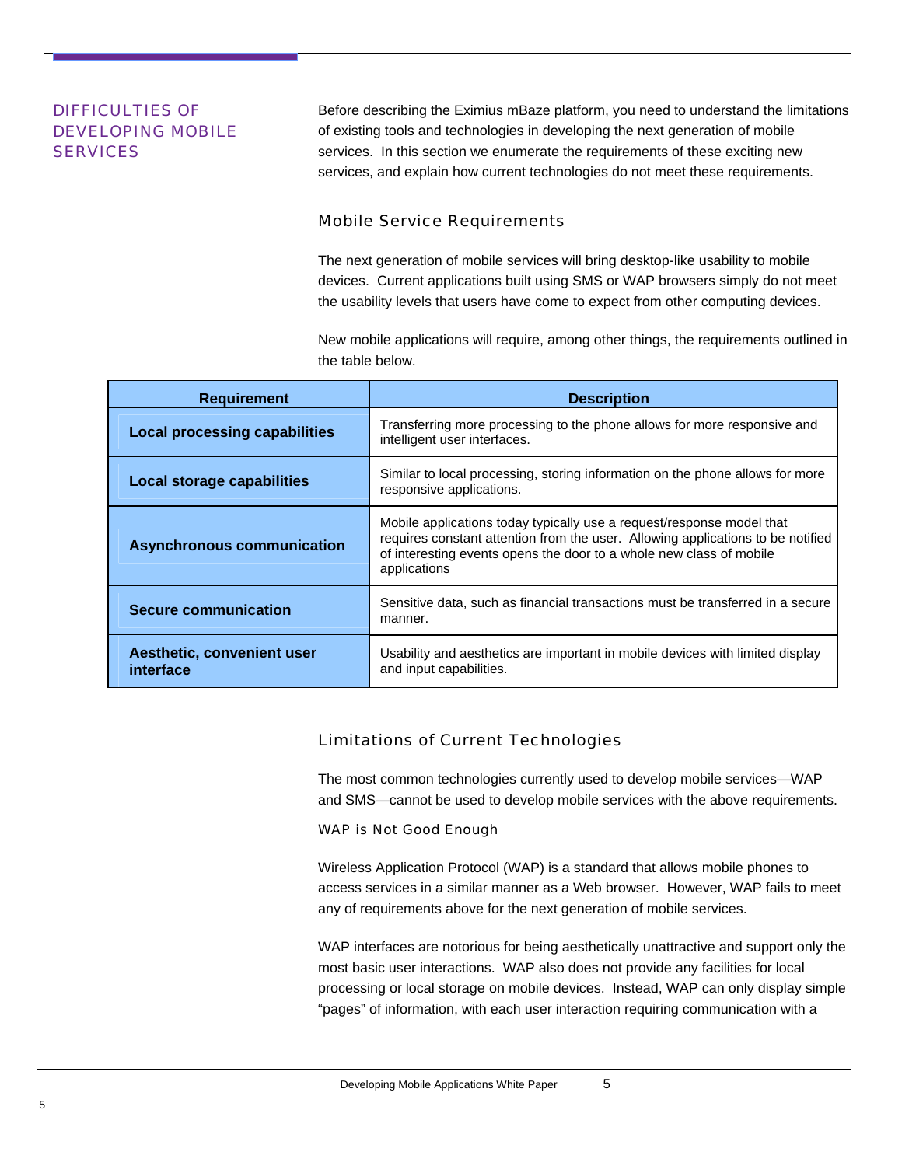## <span id="page-7-0"></span>DIFFICULTIES OF DEVELOPING MOBILE **SERVICES**

Before describing the Eximius mBaze platform, you need to understand the limitations of existing tools and technologies in developing the next generation of mobile services. In this section we enumerate the requirements of these exciting new services, and explain how current technologies do not meet these requirements.

#### Mobile Service Requirements

The next generation of mobile services will bring desktop-like usability to mobile devices. Current applications built using SMS or WAP browsers simply do not meet the usability levels that users have come to expect from other computing devices.

New mobile applications will require, among other things, the requirements outlined in the table below.

| <b>Requirement</b>                      | <b>Description</b>                                                                                                                                                                                                                              |  |
|-----------------------------------------|-------------------------------------------------------------------------------------------------------------------------------------------------------------------------------------------------------------------------------------------------|--|
| <b>Local processing capabilities</b>    | Transferring more processing to the phone allows for more responsive and<br>intelligent user interfaces.                                                                                                                                        |  |
| <b>Local storage capabilities</b>       | Similar to local processing, storing information on the phone allows for more<br>responsive applications.                                                                                                                                       |  |
| <b>Asynchronous communication</b>       | Mobile applications today typically use a request/response model that<br>requires constant attention from the user. Allowing applications to be notified<br>of interesting events opens the door to a whole new class of mobile<br>applications |  |
| <b>Secure communication</b>             | Sensitive data, such as financial transactions must be transferred in a secure<br>manner.                                                                                                                                                       |  |
| Aesthetic, convenient user<br>interface | Usability and aesthetics are important in mobile devices with limited display<br>and input capabilities.                                                                                                                                        |  |

## Limitations of Current Technologies

The most common technologies currently used to develop mobile services—WAP and SMS—cannot be used to develop mobile services with the above requirements.

#### WAP is Not Good Enough

Wireless Application Protocol (WAP) is a standard that allows mobile phones to access services in a similar manner as a Web browser. However, WAP fails to meet any of requirements above for the next generation of mobile services.

WAP interfaces are notorious for being aesthetically unattractive and support only the most basic user interactions. WAP also does not provide any facilities for local processing or local storage on mobile devices. Instead, WAP can only display simple "pages" of information, with each user interaction requiring communication with a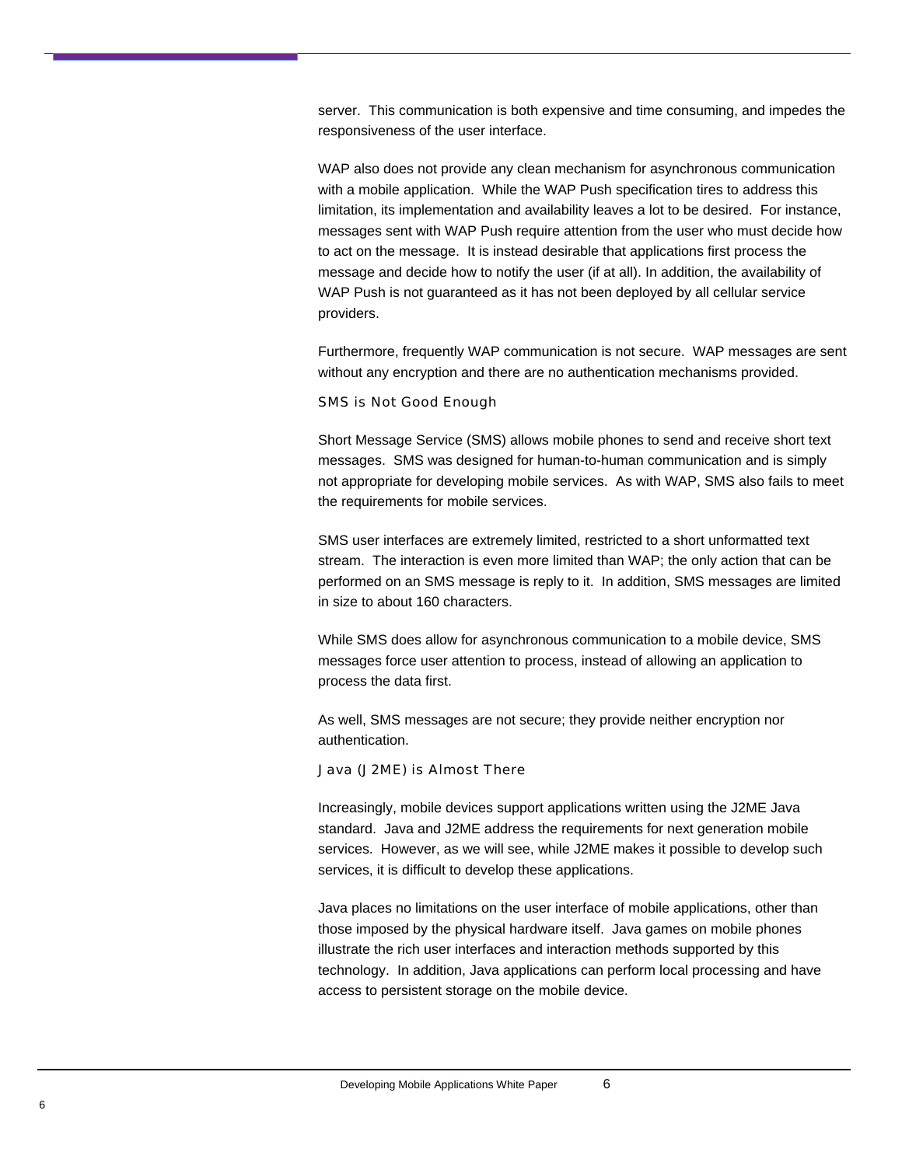<span id="page-8-0"></span>server. This communication is both expensive and time consuming, and impedes the responsiveness of the user interface.

WAP also does not provide any clean mechanism for asynchronous communication with a mobile application. While the WAP Push specification tires to address this limitation, its implementation and availability leaves a lot to be desired. For instance, messages sent with WAP Push require attention from the user who must decide how to act on the message. It is instead desirable that applications first process the message and decide how to notify the user (if at all). In addition, the availability of WAP Push is not guaranteed as it has not been deployed by all cellular service providers.

Furthermore, frequently WAP communication is not secure. WAP messages are sent without any encryption and there are no authentication mechanisms provided.

#### SMS is Not Good Enough

Short Message Service (SMS) allows mobile phones to send and receive short text messages. SMS was designed for human-to-human communication and is simply not appropriate for developing mobile services. As with WAP, SMS also fails to meet the requirements for mobile services.

SMS user interfaces are extremely limited, restricted to a short unformatted text stream. The interaction is even more limited than WAP; the only action that can be performed on an SMS message is reply to it. In addition, SMS messages are limited in size to about 160 characters.

While SMS does allow for asynchronous communication to a mobile device, SMS messages force user attention to process, instead of allowing an application to process the data first.

As well, SMS messages are not secure; they provide neither encryption nor authentication.

#### Java (J2ME) is Almost There

Increasingly, mobile devices support applications written using the J2ME Java standard. Java and J2ME address the requirements for next generation mobile services. However, as we will see, while J2ME makes it possible to develop such services, it is difficult to develop these applications.

Java places no limitations on the user interface of mobile applications, other than those imposed by the physical hardware itself. Java games on mobile phones illustrate the rich user interfaces and interaction methods supported by this technology. In addition, Java applications can perform local processing and have access to persistent storage on the mobile device.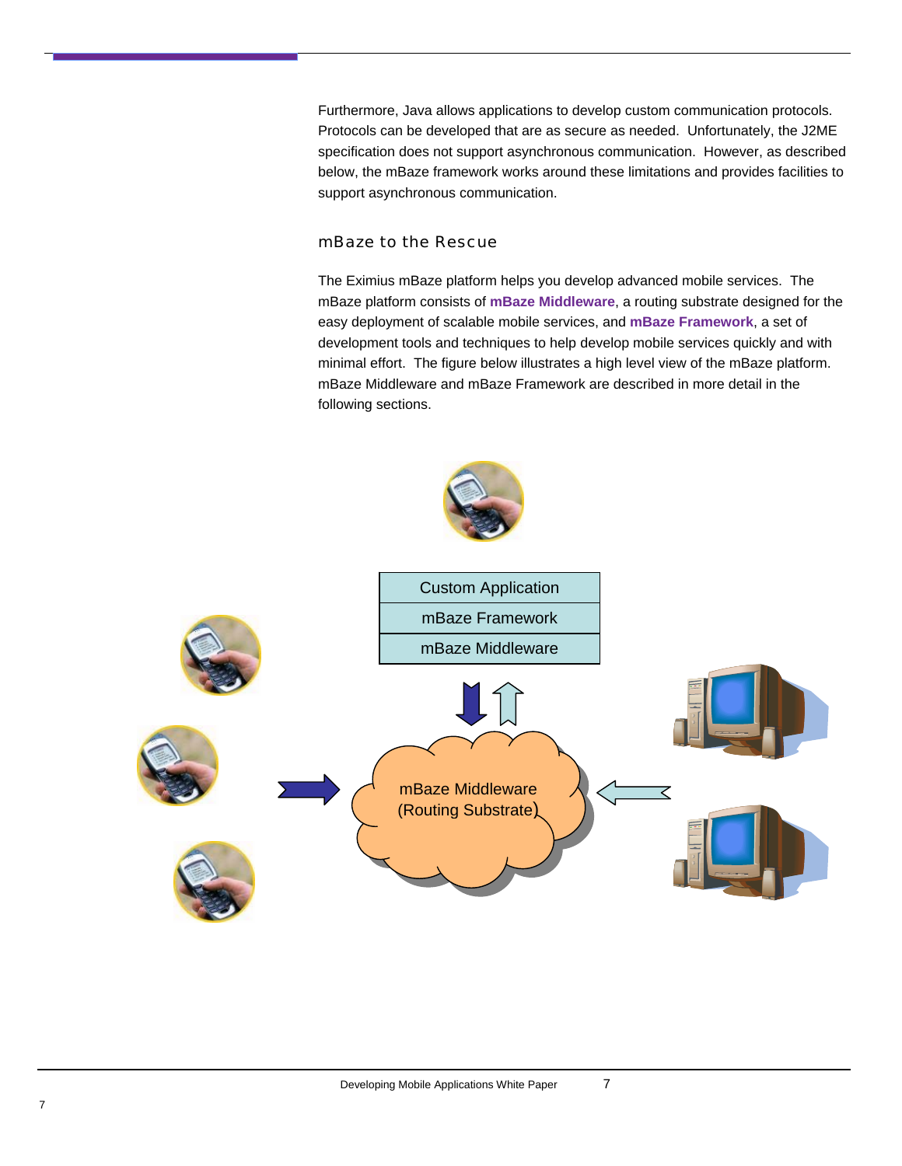<span id="page-9-0"></span>Furthermore, Java allows applications to develop custom communication protocols. Protocols can be developed that are as secure as needed. Unfortunately, the J2ME specification does not support asynchronous communication. However, as described below, the mBaze framework works around these limitations and provides facilities to support asynchronous communication.

#### mBaze to the Rescue

The Eximius mBaze platform helps you develop advanced mobile services. The mBaze platform consists of **mBaze Middleware**, a routing substrate designed for the easy deployment of scalable mobile services, and **mBaze Framework**, a set of development tools and techniques to help develop mobile services quickly and with minimal effort. The figure below illustrates a high level view of the mBaze platform. mBaze Middleware and mBaze Framework are described in more detail in the following sections.

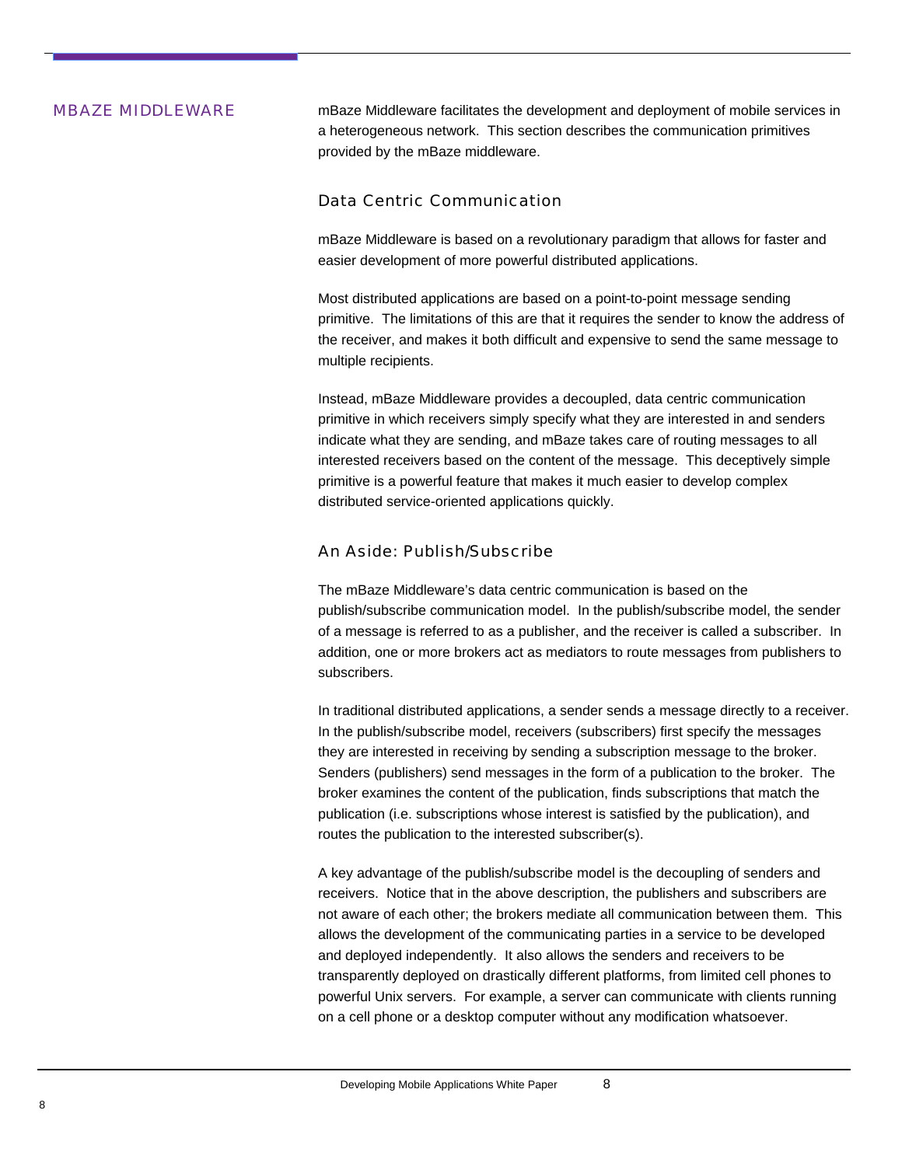<span id="page-10-0"></span>**MBAZE MIDDLEWARE** mBaze Middleware facilitates the development and deployment of mobile services in a heterogeneous network. This section describes the communication primitives provided by the mBaze middleware.

#### Data Centric Communication

mBaze Middleware is based on a revolutionary paradigm that allows for faster and easier development of more powerful distributed applications.

Most distributed applications are based on a point-to-point message sending primitive. The limitations of this are that it requires the sender to know the address of the receiver, and makes it both difficult and expensive to send the same message to multiple recipients.

Instead, mBaze Middleware provides a decoupled, data centric communication primitive in which receivers simply specify what they are interested in and senders indicate what they are sending, and mBaze takes care of routing messages to all interested receivers based on the content of the message. This deceptively simple primitive is a powerful feature that makes it much easier to develop complex distributed service-oriented applications quickly.

#### An Aside: Publish/Subscribe

The mBaze Middleware's data centric communication is based on the publish/subscribe communication model. In the publish/subscribe model, the sender of a message is referred to as a publisher, and the receiver is called a subscriber. In addition, one or more brokers act as mediators to route messages from publishers to subscribers.

In traditional distributed applications, a sender sends a message directly to a receiver. In the publish/subscribe model, receivers (subscribers) first specify the messages they are interested in receiving by sending a subscription message to the broker. Senders (publishers) send messages in the form of a publication to the broker. The broker examines the content of the publication, finds subscriptions that match the publication (i.e. subscriptions whose interest is satisfied by the publication), and routes the publication to the interested subscriber(s).

A key advantage of the publish/subscribe model is the decoupling of senders and receivers. Notice that in the above description, the publishers and subscribers are not aware of each other; the brokers mediate all communication between them. This allows the development of the communicating parties in a service to be developed and deployed independently. It also allows the senders and receivers to be transparently deployed on drastically different platforms, from limited cell phones to powerful Unix servers. For example, a server can communicate with clients running on a cell phone or a desktop computer without any modification whatsoever.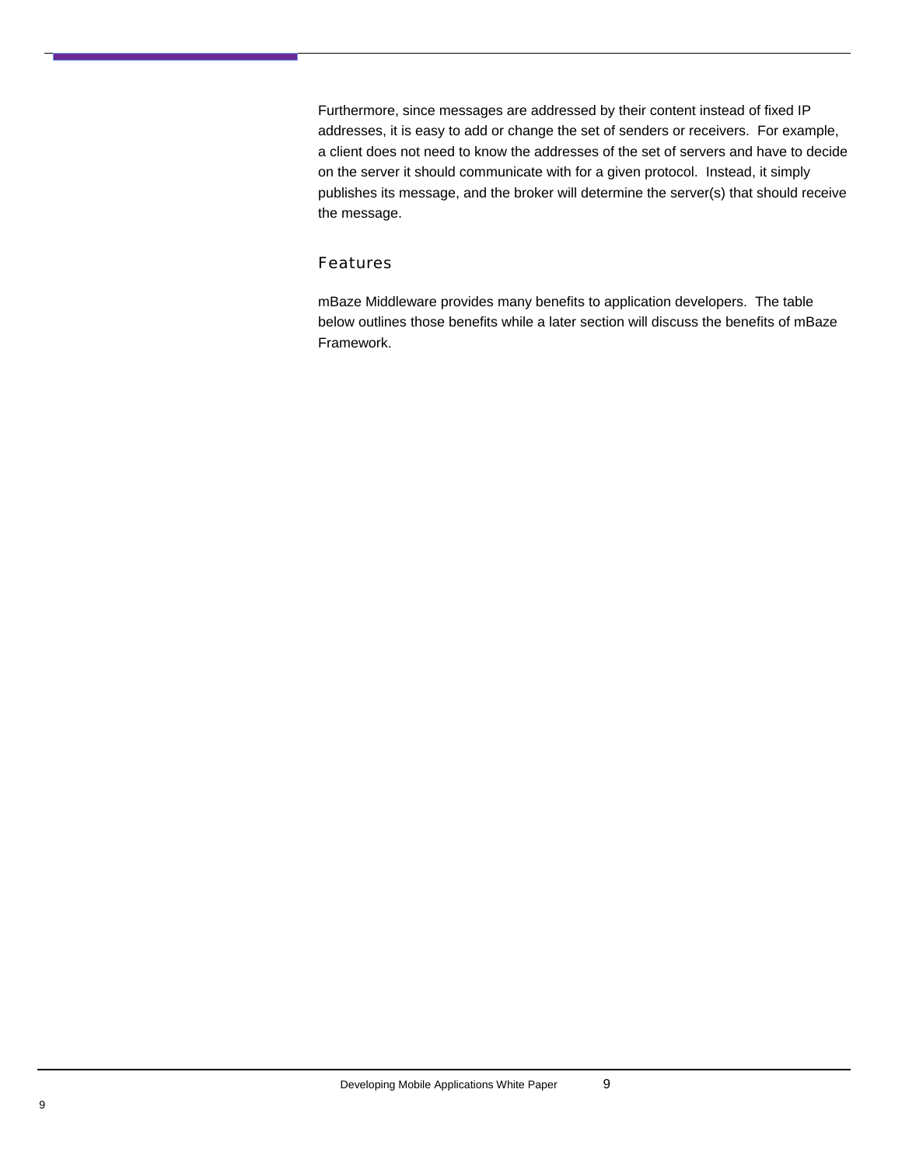<span id="page-11-0"></span>Furthermore, since messages are addressed by their content instead of fixed IP addresses, it is easy to add or change the set of senders or receivers. For example, a client does not need to know the addresses of the set of servers and have to decide on the server it should communicate with for a given protocol. Instead, it simply publishes its message, and the broker will determine the server(s) that should receive the message.

#### Features

mBaze Middleware provides many benefits to application developers. The table below outlines those benefits while a later section will discuss the benefits of mBaze Framework.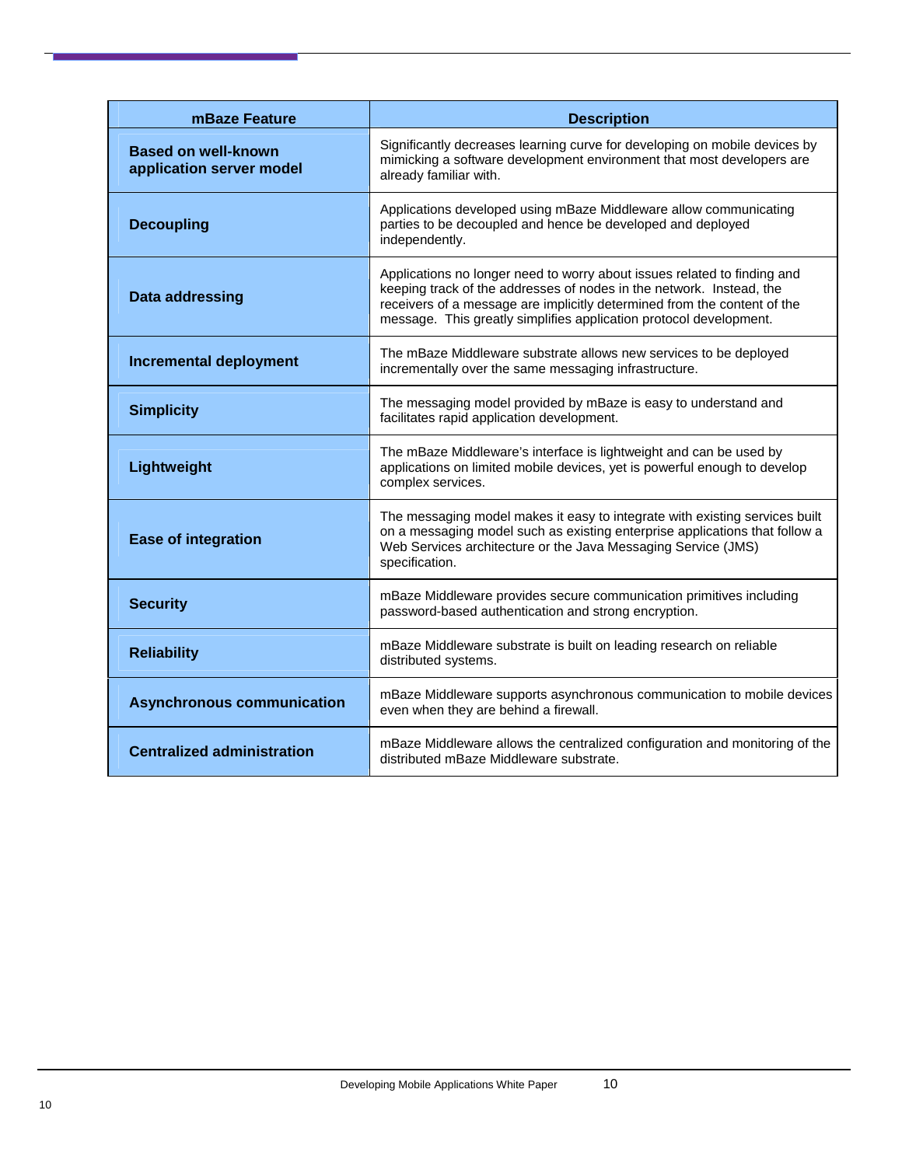| mBaze Feature                                          | <b>Description</b>                                                                                                                                                                                                                                                                                 |  |  |
|--------------------------------------------------------|----------------------------------------------------------------------------------------------------------------------------------------------------------------------------------------------------------------------------------------------------------------------------------------------------|--|--|
| <b>Based on well-known</b><br>application server model | Significantly decreases learning curve for developing on mobile devices by<br>mimicking a software development environment that most developers are<br>already familiar with.                                                                                                                      |  |  |
| <b>Decoupling</b>                                      | Applications developed using mBaze Middleware allow communicating<br>parties to be decoupled and hence be developed and deployed<br>independently.                                                                                                                                                 |  |  |
| Data addressing                                        | Applications no longer need to worry about issues related to finding and<br>keeping track of the addresses of nodes in the network. Instead, the<br>receivers of a message are implicitly determined from the content of the<br>message. This greatly simplifies application protocol development. |  |  |
| <b>Incremental deployment</b>                          | The mBaze Middleware substrate allows new services to be deployed<br>incrementally over the same messaging infrastructure.                                                                                                                                                                         |  |  |
| <b>Simplicity</b>                                      | The messaging model provided by mBaze is easy to understand and<br>facilitates rapid application development.                                                                                                                                                                                      |  |  |
| Lightweight                                            | The mBaze Middleware's interface is lightweight and can be used by<br>applications on limited mobile devices, yet is powerful enough to develop<br>complex services.                                                                                                                               |  |  |
| <b>Ease of integration</b>                             | The messaging model makes it easy to integrate with existing services built<br>on a messaging model such as existing enterprise applications that follow a<br>Web Services architecture or the Java Messaging Service (JMS)<br>specification.                                                      |  |  |
| <b>Security</b>                                        | mBaze Middleware provides secure communication primitives including<br>password-based authentication and strong encryption.                                                                                                                                                                        |  |  |
| <b>Reliability</b>                                     | mBaze Middleware substrate is built on leading research on reliable<br>distributed systems.                                                                                                                                                                                                        |  |  |
| <b>Asynchronous communication</b>                      | mBaze Middleware supports asynchronous communication to mobile devices<br>even when they are behind a firewall.                                                                                                                                                                                    |  |  |
| <b>Centralized administration</b>                      | mBaze Middleware allows the centralized configuration and monitoring of the<br>distributed mBaze Middleware substrate.                                                                                                                                                                             |  |  |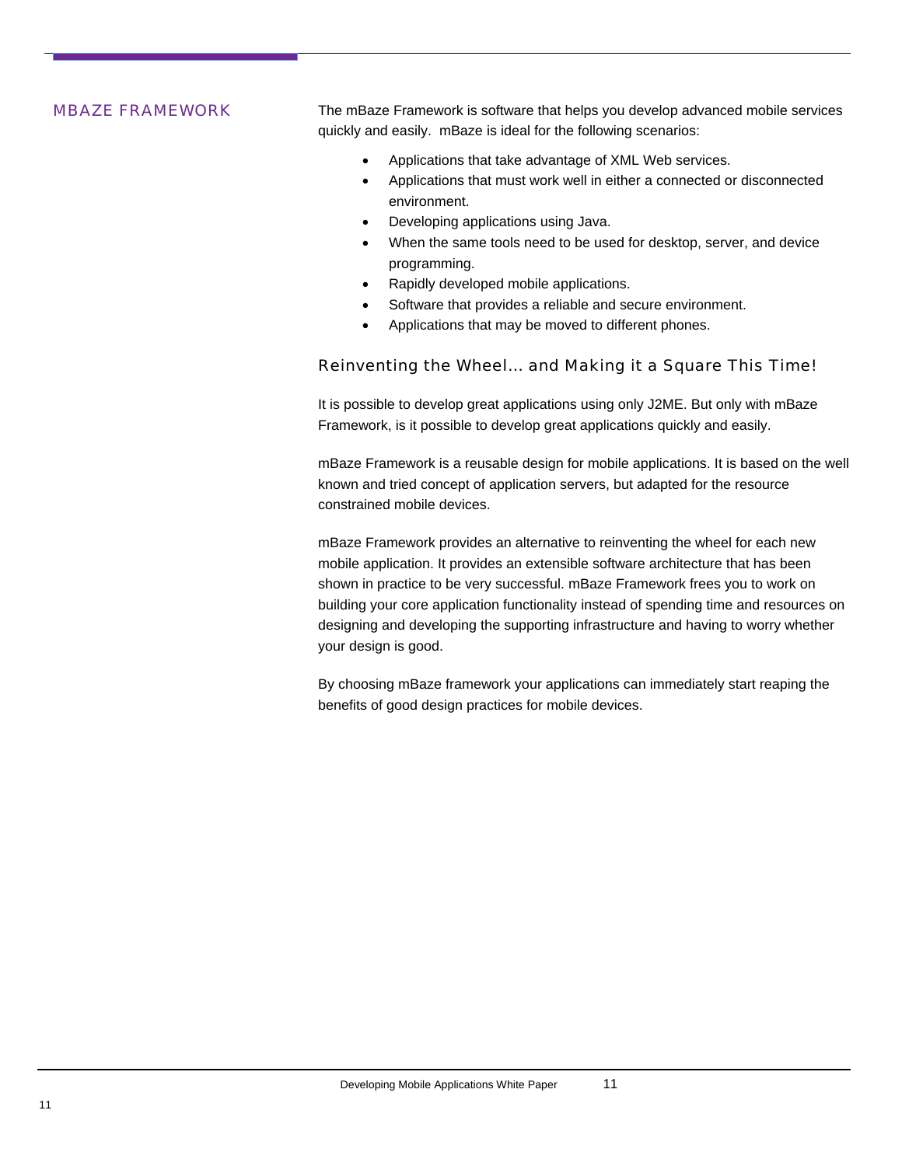<span id="page-13-0"></span>**MBAZE FRAMEWORK** The mBaze Framework is software that helps you develop advanced mobile services quickly and easily. mBaze is ideal for the following scenarios:

- Applications that take advantage of XML Web services.
- Applications that must work well in either a connected or disconnected environment.
- Developing applications using Java.
- When the same tools need to be used for desktop, server, and device programming.
- Rapidly developed mobile applications.
- Software that provides a reliable and secure environment.
- Applications that may be moved to different phones.

#### Reinventing the Wheel… and Making it a Square This Time!

It is possible to develop great applications using only J2ME. But only with mBaze Framework, is it possible to develop great applications quickly and easily.

mBaze Framework is a reusable design for mobile applications. It is based on the well known and tried concept of application servers, but adapted for the resource constrained mobile devices.

mBaze Framework provides an alternative to reinventing the wheel for each new mobile application. It provides an extensible software architecture that has been shown in practice to be very successful. mBaze Framework frees you to work on building your core application functionality instead of spending time and resources on designing and developing the supporting infrastructure and having to worry whether your design is good.

By choosing mBaze framework your applications can immediately start reaping the benefits of good design practices for mobile devices.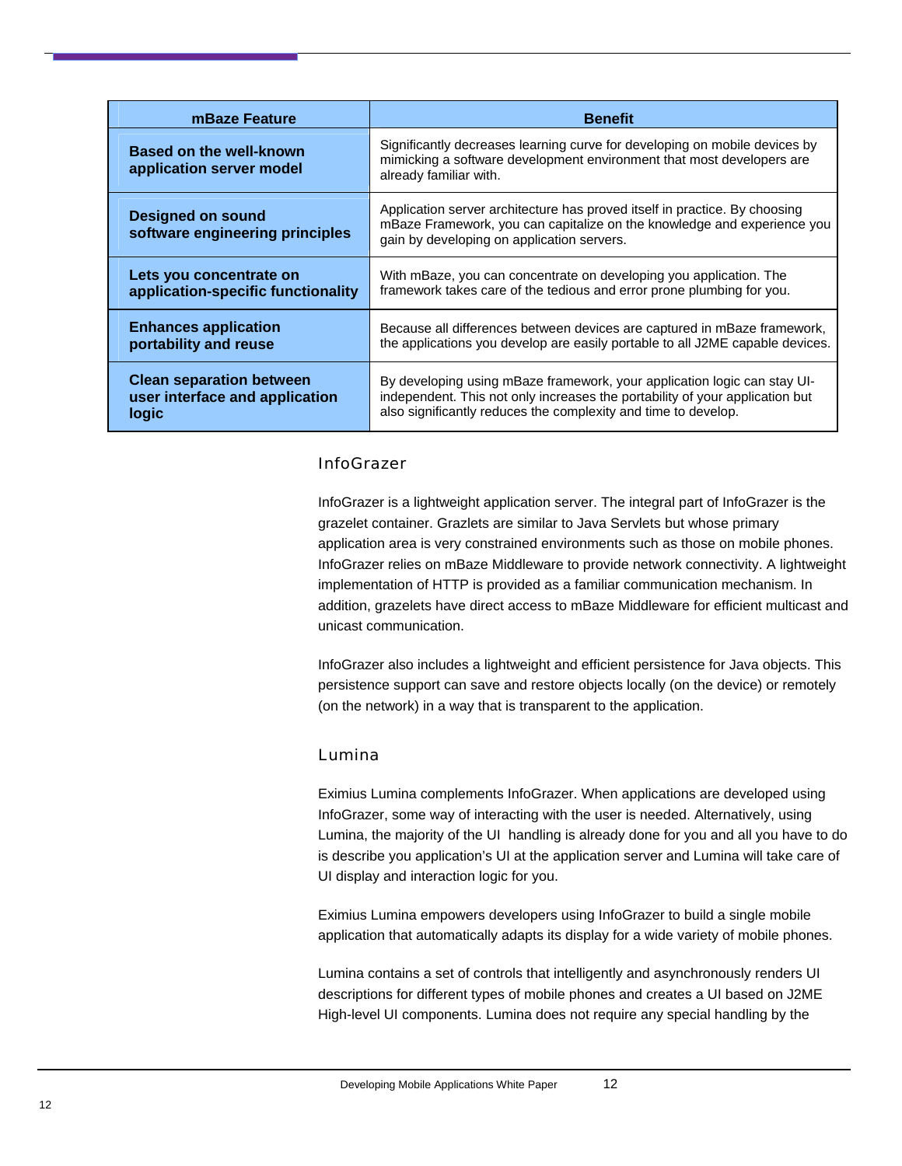<span id="page-14-0"></span>

| mBaze Feature                                               | <b>Benefit</b>                                                                                                                                                                                      |  |  |
|-------------------------------------------------------------|-----------------------------------------------------------------------------------------------------------------------------------------------------------------------------------------------------|--|--|
| Based on the well-known<br>application server model         | Significantly decreases learning curve for developing on mobile devices by<br>mimicking a software development environment that most developers are<br>already familiar with.                       |  |  |
| <b>Designed on sound</b><br>software engineering principles | Application server architecture has proved itself in practice. By choosing<br>mBaze Framework, you can capitalize on the knowledge and experience you<br>gain by developing on application servers. |  |  |
| Lets you concentrate on                                     | With mBaze, you can concentrate on developing you application. The                                                                                                                                  |  |  |
| application-specific functionality                          | framework takes care of the tedious and error prone plumbing for you.                                                                                                                               |  |  |
| <b>Enhances application</b>                                 | Because all differences between devices are captured in mBaze framework,                                                                                                                            |  |  |
| portability and reuse                                       | the applications you develop are easily portable to all J2ME capable devices.                                                                                                                       |  |  |
| <b>Clean separation between</b>                             | By developing using mBaze framework, your application logic can stay UI-                                                                                                                            |  |  |
| user interface and application                              | independent. This not only increases the portability of your application but                                                                                                                        |  |  |
| logic                                                       | also significantly reduces the complexity and time to develop.                                                                                                                                      |  |  |

#### InfoGrazer

InfoGrazer is a lightweight application server. The integral part of InfoGrazer is the grazelet container. Grazlets are similar to Java Servlets but whose primary application area is very constrained environments such as those on mobile phones. InfoGrazer relies on mBaze Middleware to provide network connectivity. A lightweight implementation of HTTP is provided as a familiar communication mechanism. In addition, grazelets have direct access to mBaze Middleware for efficient multicast and unicast communication.

InfoGrazer also includes a lightweight and efficient persistence for Java objects. This persistence support can save and restore objects locally (on the device) or remotely (on the network) in a way that is transparent to the application.

#### Lumina

Eximius Lumina complements InfoGrazer. When applications are developed using InfoGrazer, some way of interacting with the user is needed. Alternatively, using Lumina, the majority of the UI handling is already done for you and all you have to do is describe you application's UI at the application server and Lumina will take care of UI display and interaction logic for you.

Eximius Lumina empowers developers using InfoGrazer to build a single mobile application that automatically adapts its display for a wide variety of mobile phones.

Lumina contains a set of controls that intelligently and asynchronously renders UI descriptions for different types of mobile phones and creates a UI based on J2ME High-level UI components. Lumina does not require any special handling by the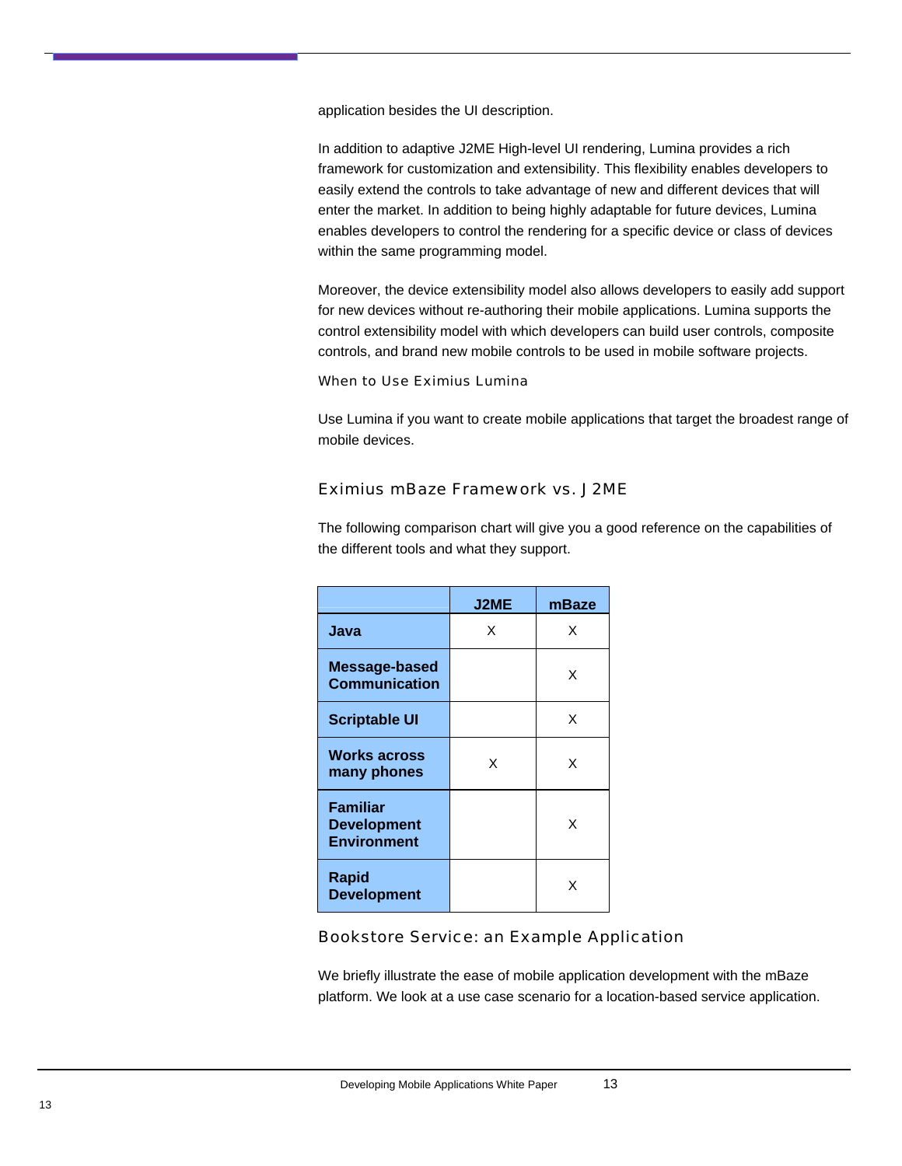<span id="page-15-0"></span>application besides the UI description.

In addition to adaptive J2ME High-level UI rendering, Lumina provides a rich framework for customization and extensibility. This flexibility enables developers to easily extend the controls to take advantage of new and different devices that will enter the market. In addition to being highly adaptable for future devices, Lumina enables developers to control the rendering for a specific device or class of devices within the same programming model.

Moreover, the device extensibility model also allows developers to easily add support for new devices without re-authoring their mobile applications. Lumina supports the control extensibility model with which developers can build user controls, composite controls, and brand new mobile controls to be used in mobile software projects.

#### When to Use Eximius Lumina

Use Lumina if you want to create mobile applications that target the broadest range of mobile devices.

#### Eximius mBaze Framework vs. J2ME

|                                                             | <b>J2ME</b> | mBaze |
|-------------------------------------------------------------|-------------|-------|
| Java                                                        | X           | X     |
| Message-based<br><b>Communication</b>                       |             | X     |
| <b>Scriptable UI</b>                                        |             | X     |
| <b>Works across</b><br>many phones                          | x           | x     |
| <b>Familiar</b><br><b>Development</b><br><b>Environment</b> |             | x     |
| <b>Rapid</b><br><b>Development</b>                          |             | x     |

The following comparison chart will give you a good reference on the capabilities of the different tools and what they support.

#### Bookstore Service: an Example Application

We briefly illustrate the ease of mobile application development with the mBaze platform. We look at a use case scenario for a location-based service application.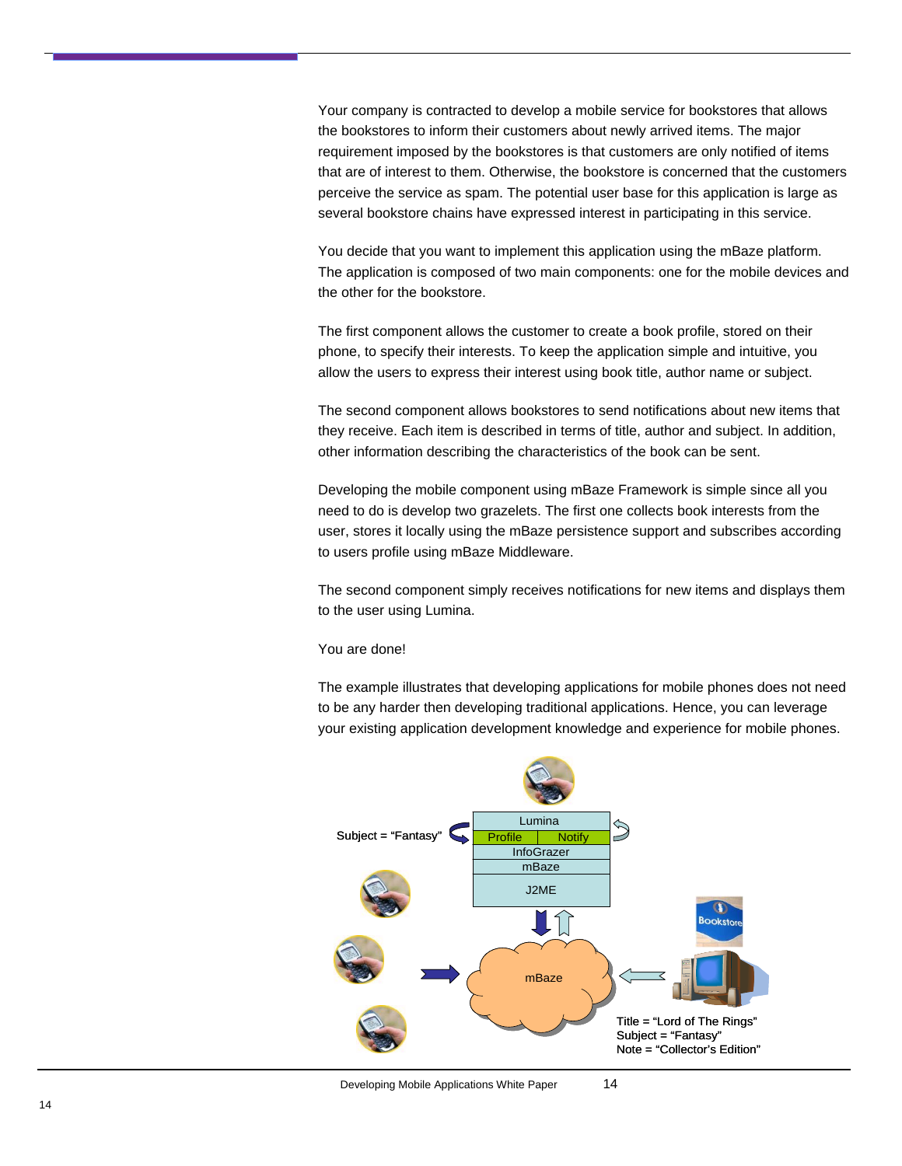Your company is contracted to develop a mobile service for bookstores that allows the bookstores to inform their customers about newly arrived items. The major requirement imposed by the bookstores is that customers are only notified of items that are of interest to them. Otherwise, the bookstore is concerned that the customers perceive the service as spam. The potential user base for this application is large as several bookstore chains have expressed interest in participating in this service.

You decide that you want to implement this application using the mBaze platform. The application is composed of two main components: one for the mobile devices and the other for the bookstore.

The first component allows the customer to create a book profile, stored on their phone, to specify their interests. To keep the application simple and intuitive, you allow the users to express their interest using book title, author name or subject.

The second component allows bookstores to send notifications about new items that they receive. Each item is described in terms of title, author and subject. In addition, other information describing the characteristics of the book can be sent.

Developing the mobile component using mBaze Framework is simple since all you need to do is develop two grazelets. The first one collects book interests from the user, stores it locally using the mBaze persistence support and subscribes according to users profile using mBaze Middleware.

The second component simply receives notifications for new items and displays them to the user using Lumina.

#### You are done!

The example illustrates that developing applications for mobile phones does not need to be any harder then developing traditional applications. Hence, you can leverage your existing application development knowledge and experience for mobile phones.